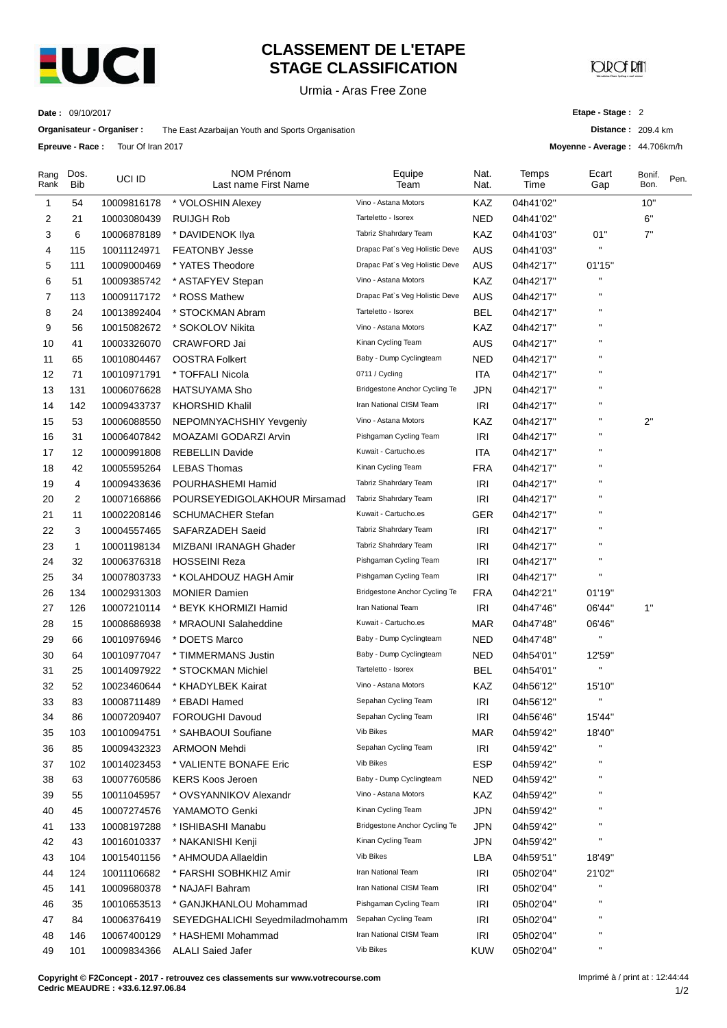

# **CLASSEMENT DE L'ETAPE STAGE CLASSIFICATION**

Urmia - Aras Free Zone

## MD∪tDfl

**Date :** 09/10/2017

**Etape - Stage :** 2

 $: 209.4 \text{ km}$ 

Bonif. Bon.

Pen.

**Moyenne - Average :** 44.706km/h

|              |                    | Organisateur - Organiser : | The East Azarbaijan Youth and Sports Organisation |                                |              |               | Distance: 209.            |             |
|--------------|--------------------|----------------------------|---------------------------------------------------|--------------------------------|--------------|---------------|---------------------------|-------------|
|              | Epreuve - Race :   | Tour Of Iran 2017          |                                                   |                                |              |               | Moyenne - Average: 44.7   |             |
| Rang<br>Rank | Dos.<br><b>Bib</b> | UCI ID                     | <b>NOM Prénom</b><br>Last name First Name         | Equipe<br>Team                 | Nat.<br>Nat. | Temps<br>Time | Ecart<br>Gap              | Boni<br>Bon |
| 1            | 54                 | 10009816178                | * VOLOSHIN Alexey                                 | Vino - Astana Motors           | KAZ          | 04h41'02"     |                           | 10'         |
| 2            | 21                 | 10003080439                | <b>RUIJGH Rob</b>                                 | Tarteletto - Isorex            | <b>NED</b>   | 04h41'02"     |                           | 6"          |
| 3            | 6                  | 10006878189                | * DAVIDENOK IIya                                  | Tabriz Shahrdary Team          | KAZ          | 04h41'03"     | 01"                       | 7"          |
| 4            | 115                | 10011124971                | <b>FEATONBY Jesse</b>                             | Drapac Pat's Veg Holistic Deve | AUS          | 04h41'03"     | П                         |             |
| 5            | 111                | 10009000469                | * YATES Theodore                                  | Drapac Pat's Veg Holistic Deve | AUS          | 04h42'17"     | 01'15"                    |             |
| 6            | 51                 | 10009385742                | * ASTAFYEV Stepan                                 | Vino - Astana Motors           | KAZ          | 04h42'17"     | $\mathbf{H}$              |             |
| 7            | 113                | 10009117172                | * ROSS Mathew                                     | Drapac Pat's Veg Holistic Deve | AUS          | 04h42'17"     | $\pmb{\mathsf{H}}$        |             |
| 8            | 24                 | 10013892404                | * STOCKMAN Abram                                  | Tarteletto - Isorex            | BEL          | 04h42'17"     | $\pmb{\mathsf{H}}$        |             |
| 9            | 56                 | 10015082672                | * SOKOLOV Nikita                                  | Vino - Astana Motors           | KAZ          | 04h42'17"     | $\mathbf{H}$              |             |
| 10           | 41                 | 10003326070                | CRAWFORD Jai                                      | Kinan Cycling Team             | AUS          | 04h42'17"     | $\mathbf{H}$              |             |
| 11           | 65                 | 10010804467                | <b>OOSTRA Folkert</b>                             | Baby - Dump Cyclingteam        | <b>NED</b>   | 04h42'17"     | $\mathbf{H}$              |             |
| 12           | 71                 | 10010971791                | * TOFFALI Nicola                                  | 0711 / Cycling                 | ITA          | 04h42'17"     | $\mathbf{u}$              |             |
| 13           | 131                | 10006076628                | <b>HATSUYAMA Sho</b>                              | Bridgestone Anchor Cycling Te  | JPN          | 04h42'17"     | $\mathbf{u}$              |             |
| 14           | 142                | 10009433737                | <b>KHORSHID Khalil</b>                            | Iran National CISM Team        | IRI          | 04h42'17"     | $\pmb{\mathsf{H}}$        |             |
| 15           | 53                 | 10006088550                | NEPOMNYACHSHIY Yevgeniy                           | Vino - Astana Motors           | KAZ          | 04h42'17"     | $\pmb{\mathsf{H}}$        | 2"          |
| 16           | 31                 | 10006407842                | MOAZAMI GODARZI Arvin                             | Pishgaman Cycling Team         | <b>IRI</b>   | 04h42'17"     | $\pmb{\mathsf{H}}$        |             |
| 17           | 12                 | 10000991808                | <b>REBELLIN Davide</b>                            | Kuwait - Cartucho.es           | ITA          | 04h42'17"     | $\pmb{\mathsf{H}}$        |             |
| 18           | 42                 | 10005595264                | <b>LEBAS Thomas</b>                               | Kinan Cycling Team             | <b>FRA</b>   | 04h42'17"     | $\pmb{\mathsf{H}}$        |             |
| 19           | 4                  | 10009433636                | POURHASHEMI Hamid                                 | Tabriz Shahrdary Team          | IRI          | 04h42'17"     | $\mathbf{H}$              |             |
| 20           | 2                  | 10007166866                | POURSEYEDIGOLAKHOUR Mirsamad                      | Tabriz Shahrdary Team          | <b>IRI</b>   | 04h42'17"     | $\pmb{\mathsf{H}}$        |             |
| 21           | 11                 | 10002208146                | <b>SCHUMACHER Stefan</b>                          | Kuwait - Cartucho.es           | GER          | 04h42'17"     | $\mathbf{H}$              |             |
| 22           | 3                  | 10004557465                | SAFARZADEH Saeid                                  | Tabriz Shahrdary Team          | <b>IRI</b>   | 04h42'17"     | $\pmb{\mathsf{H}}$        |             |
| 23           | 1                  | 10001198134                | MIZBANI IRANAGH Ghader                            | Tabriz Shahrdary Team          | <b>IRI</b>   | 04h42'17"     | $\mathbf{H}$              |             |
| 24           | 32                 | 10006376318                | <b>HOSSEINI Reza</b>                              | Pishgaman Cycling Team         | <b>IRI</b>   | 04h42'17"     | $\pmb{\mathsf{H}}$        |             |
| 25           | 34                 | 10007803733                | * KOLAHDOUZ HAGH Amir                             | Pishgaman Cycling Team         | IRI          | 04h42'17"     | $\boldsymbol{\mathsf{H}}$ |             |
| 26           | 134                | 10002931303                | <b>MONIER Damien</b>                              | Bridgestone Anchor Cycling Te  | <b>FRA</b>   | 04h42'21"     | 01'19"                    |             |
| 27           | 126                | 10007210114                | * BEYK KHORMIZI Hamid                             | Iran National Team             | IRI          | 04h47'46"     | 06'44"                    | 1"          |
| 28           | 15                 | 10008686938                | * MRAOUNI Salaheddine                             | Kuwait - Cartucho.es           | <b>MAR</b>   | 04h47'48"     | 06'46"                    |             |
| 29           | 66                 | 10010976946                | * DOETS Marco                                     | Baby - Dump Cyclingteam        | NED          | 04h47'48"     | $\blacksquare$            |             |
| 30           | 64                 | 10010977047                | * TIMMERMANS Justin                               | Baby - Dump Cyclingteam        | NED          | 04h54'01"     | 12'59"                    |             |
| 31           | 25                 | 10014097922                | * STOCKMAN Michiel                                | Tarteletto - Isorex            | BEL          | 04h54'01"     | $\mathbf{H}$              |             |
| 32           | 52                 | 10023460644                | * KHADYLBEK Kairat                                | Vino - Astana Motors           | KAZ          | 04h56'12"     | 15'10"                    |             |
| 33           | 83                 | 10008711489                | * EBADI Hamed                                     | Sepahan Cycling Team           | IRI          | 04h56'12"     | $\pmb{\theta}$            |             |
| 34           | 86                 | 10007209407                | <b>FOROUGHI Davoud</b>                            | Sepahan Cycling Team           | <b>IRI</b>   | 04h56'46"     | 15'44"                    |             |
| 35           | 103                | 10010094751                | * SAHBAOUI Soufiane                               | Vib Bikes                      | MAR          | 04h59'42"     | 18'40"                    |             |
| 36           | 85                 | 10009432323                | <b>ARMOON Mehdi</b>                               | Sepahan Cycling Team           | IRI          | 04h59'42"     | $\pmb{\cdot}$             |             |
| 37           | 102                | 10014023453                | * VALIENTE BONAFE Eric                            | Vib Bikes                      | <b>ESP</b>   | 04h59'42"     | $\pmb{\shortparallel}$    |             |
| 38           | 63                 | 10007760586                | <b>KERS Koos Jeroen</b>                           | Baby - Dump Cyclingteam        | NED          | 04h59'42"     | п                         |             |
| 39           | 55                 | 10011045957                | * OVSYANNIKOV Alexandr                            | Vino - Astana Motors           | KAZ          | 04h59'42"     | п                         |             |
| 40           | 45                 | 10007274576                | YAMAMOTO Genki                                    | Kinan Cycling Team             | <b>JPN</b>   | 04h59'42"     | п                         |             |
| 41           | 133                | 10008197288                | * ISHIBASHI Manabu                                | Bridgestone Anchor Cycling Te  | JPN          | 04h59'42"     | $\pmb{\cdot}$             |             |
| 42           | 43                 | 10016010337                | * NAKANISHI Kenji                                 | Kinan Cycling Team             | <b>JPN</b>   | 04h59'42"     | $\pmb{\shortparallel}$    |             |

43 104 10015401156 \* AHMOUDA Allaeldin Vib Bikes LBA 04h59'51'' 18'49'' 44 124 \* FARSHI SOBHKHIZ Amir 10011106682 Iran National Team IRI 05h02'04'' 21'02'' 45 141 10009680378 \* NAJAFI Bahram International CISM Team IRI 05h02'04" " 46 35 10010653513 \* GANJKHANLOU Mohammad Pishgaman Cycling Team IRI 05h02'04'' '' 47 84 10006376419 SEYEDGHALICHI Seyedmiladmohamm Sepahan Cycling Team IRI 05h02'04" " 48 146 10067400129 \* HASHEMI Mohammad Iran National CISM Team IRI 05h02'04" " 49 101 10009834366 ALALI Saied Jafer Vib Bikes Vib Bikes KUW 05h02'04" "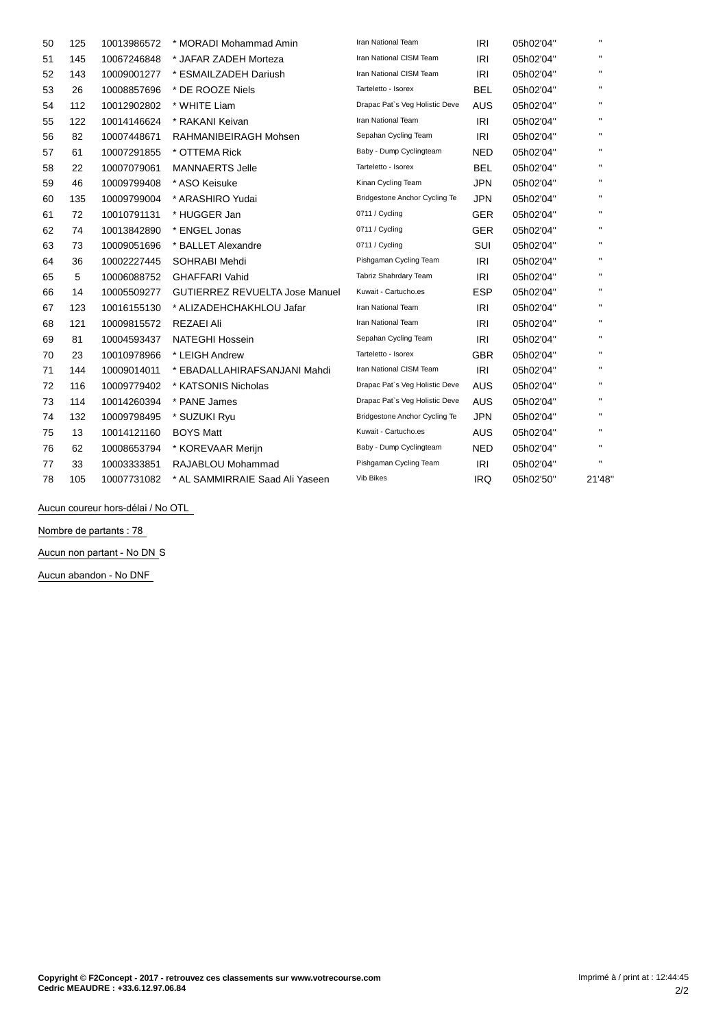| 50 | 125 | 10013986572 | * MORADI Mohammad Amin                | <b>Iran National Team</b>      | <b>IRI</b> | 05h02'04" | $\mathbf{H}$ |
|----|-----|-------------|---------------------------------------|--------------------------------|------------|-----------|--------------|
| 51 | 145 | 10067246848 | * JAFAR ZADEH Morteza                 | Iran National CISM Team        | <b>IRI</b> | 05h02'04" | $\mathbf{H}$ |
| 52 | 143 | 10009001277 | * ESMAILZADEH Dariush                 | Iran National CISM Team        | IRI        | 05h02'04" | $\mathbf{H}$ |
| 53 | 26  | 10008857696 | * DE ROOZE Niels                      | Tarteletto - Isorex            | BEL        | 05h02'04" | $\mathbf H$  |
| 54 | 112 | 10012902802 | * WHITE Liam                          | Drapac Pat's Veg Holistic Deve | <b>AUS</b> | 05h02'04" | $\mathbf{H}$ |
| 55 | 122 | 10014146624 | * RAKANI Keivan                       | Iran National Team             | IRI        | 05h02'04" | $\mathbf{H}$ |
| 56 | 82  | 10007448671 | RAHMANIBEIRAGH Mohsen                 | Sepahan Cycling Team           | IRI        | 05h02'04" | $\mathbf{H}$ |
| 57 | 61  | 10007291855 | * OTTEMA Rick                         | Baby - Dump Cyclingteam        | <b>NED</b> | 05h02'04" | $\mathbf{H}$ |
| 58 | 22  | 10007079061 | <b>MANNAERTS Jelle</b>                | Tarteletto - Isorex            | <b>BEL</b> | 05h02'04" | $\mathbf{H}$ |
| 59 | 46  | 10009799408 | * ASO Keisuke                         | Kinan Cycling Team             | <b>JPN</b> | 05h02'04" | $\mathbf{H}$ |
| 60 | 135 | 10009799004 | * ARASHIRO Yudai                      | Bridgestone Anchor Cycling Te  | <b>JPN</b> | 05h02'04" | $\mathbf{H}$ |
| 61 | 72  | 10010791131 | * HUGGER Jan                          | 0711 / Cycling                 | <b>GER</b> | 05h02'04" | $\mathbf{H}$ |
| 62 | 74  | 10013842890 | * ENGEL Jonas                         | 0711 / Cycling                 | <b>GER</b> | 05h02'04" | $\mathbf{H}$ |
| 63 | 73  | 10009051696 | * BALLET Alexandre                    | 0711 / Cycling                 | <b>SUI</b> | 05h02'04" | $\mathbf{H}$ |
| 64 | 36  | 10002227445 | SOHRABI Mehdi                         | Pishgaman Cycling Team         | IRI        | 05h02'04" | $\mathbf{H}$ |
| 65 | 5   | 10006088752 | <b>GHAFFARI Vahid</b>                 | Tabriz Shahrdary Team          | <b>IRI</b> | 05h02'04" | $\mathbf{H}$ |
| 66 | 14  | 10005509277 | <b>GUTIERREZ REVUELTA Jose Manuel</b> | Kuwait - Cartucho.es           | <b>ESP</b> | 05h02'04" | $\mathbf{H}$ |
| 67 | 123 | 10016155130 | * ALIZADEHCHAKHLOU Jafar              | Iran National Team             | <b>IRI</b> | 05h02'04" | $\mathbf{H}$ |
| 68 | 121 | 10009815572 | REZAEI Ali                            | Iran National Team             | <b>IRI</b> | 05h02'04" | $\mathbf{H}$ |
| 69 | 81  | 10004593437 | <b>NATEGHI Hossein</b>                | Sepahan Cycling Team           | IRI        | 05h02'04" | $\mathbf{H}$ |
| 70 | 23  | 10010978966 | * LEIGH Andrew                        | Tarteletto - Isorex            | <b>GBR</b> | 05h02'04" | $\mathbf{H}$ |
| 71 | 144 | 10009014011 | * EBADALLAHIRAFSANJANI Mahdi          | Iran National CISM Team        | IRI        | 05h02'04" | $\mathbf{H}$ |
| 72 | 116 | 10009779402 | * KATSONIS Nicholas                   | Drapac Pat's Veg Holistic Deve | <b>AUS</b> | 05h02'04" | $\mathbf{H}$ |
| 73 | 114 | 10014260394 | * PANE James                          | Drapac Pat's Veg Holistic Deve | <b>AUS</b> | 05h02'04" | $\mathbf{H}$ |
| 74 | 132 | 10009798495 | * SUZUKI Ryu                          | Bridgestone Anchor Cycling Te  | JPN        | 05h02'04" | $\mathbf{H}$ |
| 75 | 13  | 10014121160 | <b>BOYS Matt</b>                      | Kuwait - Cartucho.es           | AUS        | 05h02'04" | $\mathbf{H}$ |
| 76 | 62  | 10008653794 | * KOREVAAR Merijn                     | Baby - Dump Cyclingteam        | <b>NED</b> | 05h02'04" | $\mathbf{H}$ |
| 77 | 33  | 10003333851 | RAJABLOU Mohammad                     | Pishgaman Cycling Team         | IRI        | 05h02'04" | $\mathbf{H}$ |
| 78 | 105 | 10007731082 | * AL SAMMIRRAIE Saad Ali Yaseen       | Vib Bikes                      | <b>IRQ</b> | 05h02'50" | 21'48'       |

Aucun coureur hors-délai / No OTL

**Nombre de partants : 78**

**Aucun non partant - No DN** S

**Aucun abandon - No DNF**

 $\bar{z}$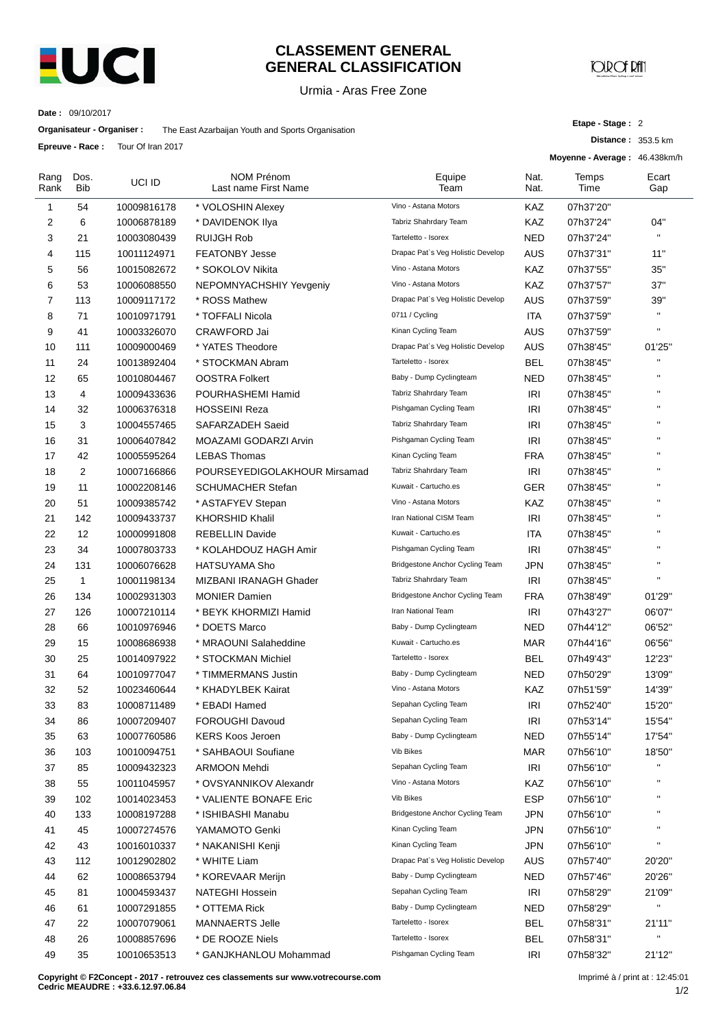

#### **CLASSEMENT GENERAL GENERAL CLASSIFICATION**

Urmia - Aras Free Zone

# **JOROF RAT**

**Etape - Stage :** 2

**Distance :** 353.5 km

**Date :** 09/10/2017

| Organisateur - Organiser : | The East Azarbaijan Youth and Sports Organisation |
|----------------------------|---------------------------------------------------|
|----------------------------|---------------------------------------------------|

**Epreuve - Race :** Tour Of Iran 2017

|              |              |             |                                           |                                   |              | Moyenne - Average: 46.438km/h |              |
|--------------|--------------|-------------|-------------------------------------------|-----------------------------------|--------------|-------------------------------|--------------|
| Rang<br>Rank | Dos.<br>Bib  | UCI ID      | <b>NOM Prénom</b><br>Last name First Name | Equipe<br>Team                    | Nat.<br>Nat. | Temps<br>Time                 | Ecart<br>Gap |
| 1            | 54           | 10009816178 | * VOLOSHIN Alexey                         | Vino - Astana Motors              | KAZ          | 07h37'20"                     |              |
| 2            | 6            | 10006878189 | * DAVIDENOK Ilya                          | Tabriz Shahrdary Team             | KAZ          | 07h37'24"                     | 04"          |
| 3            | 21           | 10003080439 | <b>RUIJGH Rob</b>                         | Tarteletto - Isorex               | NED          | 07h37'24"                     | $\mathbf{H}$ |
| 4            | 115          | 10011124971 | <b>FEATONBY Jesse</b>                     | Drapac Pat's Veg Holistic Develop | AUS          | 07h37'31"                     | 11"          |
| 5            | 56           | 10015082672 | * SOKOLOV Nikita                          | Vino - Astana Motors              | KAZ          | 07h37'55"                     | 35"          |
| 6            | 53           | 10006088550 | NEPOMNYACHSHIY Yevgeniy                   | Vino - Astana Motors              | KAZ          | 07h37'57"                     | 37"          |
| 7            | 113          | 10009117172 | * ROSS Mathew                             | Drapac Pat's Veg Holistic Develop | <b>AUS</b>   | 07h37'59"                     | 39"          |
| 8            | 71           | 10010971791 | * TOFFALI Nicola                          | 0711 / Cycling                    | ITA          | 07h37'59"                     | $\mathbf{H}$ |
| 9            | 41           | 10003326070 | <b>CRAWFORD Jai</b>                       | Kinan Cycling Team                | <b>AUS</b>   | 07h37'59"                     | $\mathbf{H}$ |
| 10           | 111          | 10009000469 | * YATES Theodore                          | Drapac Pat's Veg Holistic Develop | <b>AUS</b>   | 07h38'45"                     | 01'25"       |
| 11           | 24           | 10013892404 | * STOCKMAN Abram                          | Tarteletto - Isorex               | BEL          | 07h38'45"                     | $\mathbf{H}$ |
| 12           | 65           | 10010804467 | <b>OOSTRA Folkert</b>                     | Baby - Dump Cyclingteam           | NED          | 07h38'45"                     | $\mathbf{u}$ |
| 13           | 4            | 10009433636 | POURHASHEMI Hamid                         | Tabriz Shahrdary Team             | IRI          | 07h38'45"                     | $\mathbf{u}$ |
| 14           | 32           | 10006376318 | <b>HOSSEINI Reza</b>                      | Pishgaman Cycling Team            | IRI          | 07h38'45"                     | $\mathbf{H}$ |
| 15           | 3            | 10004557465 | SAFARZADEH Saeid                          | Tabriz Shahrdary Team             | <b>IRI</b>   | 07h38'45"                     | $\mathbf{H}$ |
| 16           | 31           | 10006407842 | MOAZAMI GODARZI Arvin                     | Pishgaman Cycling Team            | <b>IRI</b>   | 07h38'45"                     | $\mathbf{u}$ |
| 17           | 42           | 10005595264 | <b>LEBAS Thomas</b>                       | Kinan Cycling Team                | <b>FRA</b>   | 07h38'45"                     | $\mathbf{u}$ |
| 18           | 2            | 10007166866 | POURSEYEDIGOLAKHOUR Mirsamad              | Tabriz Shahrdary Team             | <b>IRI</b>   | 07h38'45"                     | п            |
| 19           | 11           | 10002208146 | <b>SCHUMACHER Stefan</b>                  | Kuwait - Cartucho.es              | GER          | 07h38'45"                     | $\mathbf{u}$ |
| 20           | 51           | 10009385742 | * ASTAFYEV Stepan                         | Vino - Astana Motors              | KAZ          | 07h38'45"                     | $\mathbf{u}$ |
| 21           | 142          | 10009433737 | <b>KHORSHID Khalil</b>                    | Iran National CISM Team           | IRI          | 07h38'45"                     | $\mathbf{u}$ |
| 22           | 12           | 10000991808 | <b>REBELLIN Davide</b>                    | Kuwait - Cartucho.es              | ITA          | 07h38'45"                     | $\mathbf{u}$ |
| 23           | 34           | 10007803733 | * KOLAHDOUZ HAGH Amir                     | Pishgaman Cycling Team            | <b>IRI</b>   | 07h38'45"                     | $\mathbf{u}$ |
| 24           | 131          | 10006076628 | <b>HATSUYAMA Sho</b>                      | Bridgestone Anchor Cycling Team   | <b>JPN</b>   | 07h38'45"                     | $\mathbf{H}$ |
| 25           | $\mathbf{1}$ | 10001198134 | MIZBANI IRANAGH Ghader                    | Tabriz Shahrdary Team             | IRI          | 07h38'45"                     | $\mathbf{H}$ |
| 26           | 134          | 10002931303 | <b>MONIER Damien</b>                      | Bridgestone Anchor Cycling Team   | <b>FRA</b>   | 07h38'49"                     | 01'29"       |
| 27           | 126          | 10007210114 | * BEYK KHORMIZI Hamid                     | Iran National Team                | IRI          | 07h43'27"                     | 06'07"       |
| 28           | 66           | 10010976946 | * DOETS Marco                             | Baby - Dump Cyclingteam           | NED          | 07h44'12"                     | 06'52"       |
| 29           | 15           | 10008686938 | * MRAOUNI Salaheddine                     | Kuwait - Cartucho.es              | MAR          | 07h44'16"                     | 06'56"       |
| 30           | 25           | 10014097922 | * STOCKMAN Michiel                        | Tarteletto - Isorex               | BEL          | 07h49'43"                     | 12'23"       |
| 31           | 64           | 10010977047 | * TIMMERMANS Justin                       | Baby - Dump Cyclingteam           | NED          | 07h50'29"                     | 13'09"       |
| 32           | 52           | 10023460644 | * KHADYLBEK Kairat                        | Vino - Astana Motors              | KAZ          | 07h51'59"                     | 14'39"       |
| 33           | 83           | 10008711489 | <b>EBADI Hamed</b>                        | Sepahan Cycling Team              | IRI          | 07h52'40"                     | 15'20"       |
| 34           | 86           | 10007209407 | <b>FOROUGHI Davoud</b>                    | Sepahan Cycling Team              | <b>IRI</b>   | 07h53'14"                     | 15'54"       |
| 35           | 63           | 10007760586 | <b>KERS Koos Jeroen</b>                   | Baby - Dump Cyclingteam           | <b>NED</b>   | 07h55'14"                     | 17'54"       |
| 36           | 103          | 10010094751 | * SAHBAOUI Soufiane                       | Vib Bikes                         | <b>MAR</b>   | 07h56'10"                     | 18'50"       |
| 37           | 85           | 10009432323 | ARMOON Mehdi                              | Sepahan Cycling Team              | IRI          | 07h56'10"                     | $\mathbf{H}$ |
| 38           | 55           | 10011045957 | * OVSYANNIKOV Alexandr                    | Vino - Astana Motors              | KAZ          | 07h56'10"                     | $\mathbf{u}$ |
| 39           | 102          | 10014023453 | * VALIENTE BONAFE Eric                    | Vib Bikes                         | <b>ESP</b>   | 07h56'10"                     | $\mathbf{u}$ |
| 40           | 133          | 10008197288 | * ISHIBASHI Manabu                        | Bridgestone Anchor Cycling Team   | <b>JPN</b>   | 07h56'10"                     | п            |
| 41           | 45           | 10007274576 | YAMAMOTO Genki                            | Kinan Cycling Team                | <b>JPN</b>   | 07h56'10"                     | $\mathbf{H}$ |
| 42           | 43           | 10016010337 | * NAKANISHI Kenji                         | Kinan Cycling Team                | <b>JPN</b>   | 07h56'10"                     | $\mathbf{H}$ |
| 43           | 112          | 10012902802 | * WHITE Liam                              | Drapac Pat's Veg Holistic Develop | <b>AUS</b>   | 07h57'40"                     | 20'20"       |
| 44           | 62           | 10008653794 | * KOREVAAR Merijn                         | Baby - Dump Cyclingteam           | <b>NED</b>   | 07h57'46"                     | 20'26"       |
| 45           | 81           | 10004593437 | NATEGHI Hossein                           | Sepahan Cycling Team              | IRI          | 07h58'29"                     | 21'09"       |
| 46           | 61           | 10007291855 | * OTTEMA Rick                             | Baby - Dump Cyclingteam           | <b>NED</b>   | 07h58'29"                     | $\mathbf{u}$ |
| 47           | 22           | 10007079061 | <b>MANNAERTS Jelle</b>                    | Tarteletto - Isorex               | <b>BEL</b>   | 07h58'31"                     | 21'11"       |
| 48           | 26           | 10008857696 | * DE ROOZE Niels                          | Tarteletto - Isorex               | <b>BEL</b>   | 07h58'31"                     | $\mathbf{u}$ |
| 49           | 35           | 10010653513 | * GANJKHANLOU Mohammad                    | Pishgaman Cycling Team            | <b>IRI</b>   | 07h58'32"                     | 21'12"       |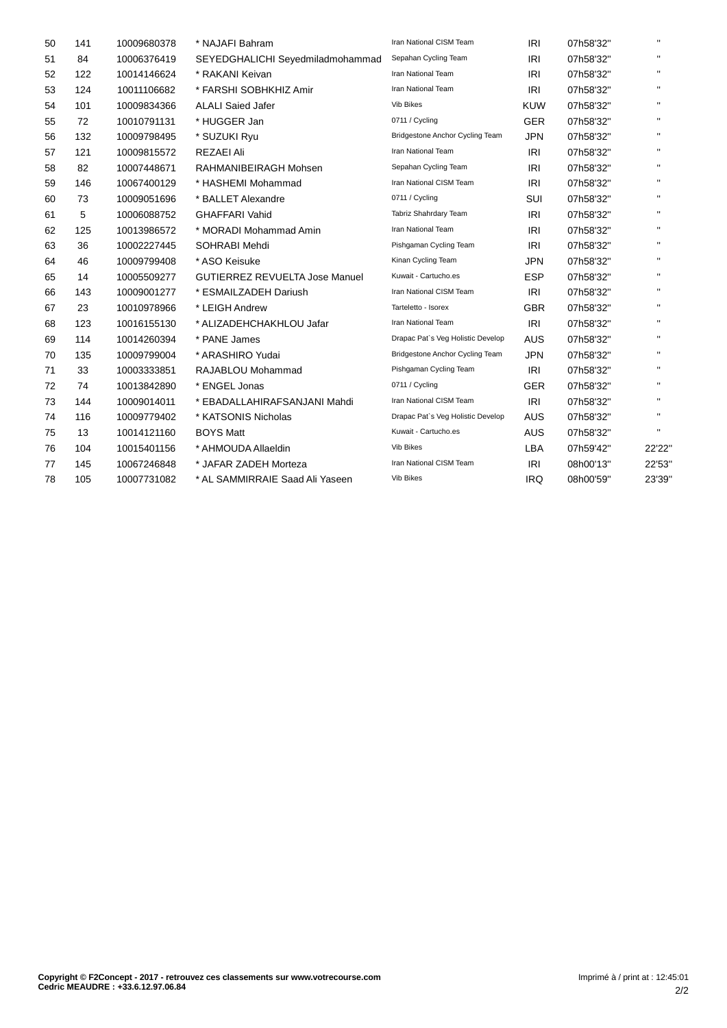| 50 | 141 | 10009680378 | * NAJAFI Bahram                       | Iran National CISM Team           | <b>IRI</b> | 07h58'32" | $\mathbf{H}$ |
|----|-----|-------------|---------------------------------------|-----------------------------------|------------|-----------|--------------|
| 51 | 84  | 10006376419 | SEYEDGHALICHI Seyedmiladmohammad      | Sepahan Cycling Team              | <b>IRI</b> | 07h58'32" | $\mathbf{H}$ |
| 52 | 122 | 10014146624 | * RAKANI Keivan                       | Iran National Team                | <b>IRI</b> | 07h58'32" | $\mathbf{H}$ |
| 53 | 124 | 10011106682 | * FARSHI SOBHKHIZ Amir                | Iran National Team                | <b>IRI</b> | 07h58'32" | $\mathbf{H}$ |
| 54 | 101 | 10009834366 | <b>ALALI Saied Jafer</b>              | <b>Vib Bikes</b>                  | <b>KUW</b> | 07h58'32" | $\mathbf{H}$ |
| 55 | 72  | 10010791131 | * HUGGER Jan                          | 0711 / Cycling                    | <b>GER</b> | 07h58'32" | $\mathbf{H}$ |
| 56 | 132 | 10009798495 | * SUZUKI Ryu                          | Bridgestone Anchor Cycling Team   | <b>JPN</b> | 07h58'32" | $\mathbf{H}$ |
| 57 | 121 | 10009815572 | <b>REZAEI Ali</b>                     | Iran National Team                | IRI        | 07h58'32" | $\mathbf{H}$ |
| 58 | 82  | 10007448671 | RAHMANIBEIRAGH Mohsen                 | Sepahan Cycling Team              | <b>IRI</b> | 07h58'32" | $\mathbf{H}$ |
| 59 | 146 | 10067400129 | * HASHEMI Mohammad                    | Iran National CISM Team           | <b>IRI</b> | 07h58'32" | $\mathbf{H}$ |
| 60 | 73  | 10009051696 | * BALLET Alexandre                    | 0711 / Cycling                    | SUI        | 07h58'32" | $\mathbf{H}$ |
| 61 | 5   | 10006088752 | <b>GHAFFARI Vahid</b>                 | Tabriz Shahrdary Team             | <b>IRI</b> | 07h58'32" | $\mathbf{H}$ |
| 62 | 125 | 10013986572 | * MORADI Mohammad Amin                | Iran National Team                | <b>IRI</b> | 07h58'32" | $\mathbf{H}$ |
| 63 | 36  | 10002227445 | SOHRABI Mehdi                         | Pishgaman Cycling Team            | IRI        | 07h58'32" | $\mathbf{H}$ |
| 64 | 46  | 10009799408 | * ASO Keisuke                         | Kinan Cycling Team                | <b>JPN</b> | 07h58'32" | $\mathbf{H}$ |
| 65 | 14  | 10005509277 | <b>GUTIERREZ REVUELTA Jose Manuel</b> | Kuwait - Cartucho.es              | <b>ESP</b> | 07h58'32" | $\mathbf{H}$ |
| 66 | 143 | 10009001277 | * ESMAILZADEH Dariush                 | Iran National CISM Team           | IRI        | 07h58'32" | $\mathbf{H}$ |
| 67 | 23  | 10010978966 | * LEIGH Andrew                        | Tarteletto - Isorex               | <b>GBR</b> | 07h58'32" | $\mathbf{H}$ |
| 68 | 123 | 10016155130 | * ALIZADEHCHAKHLOU Jafar              | Iran National Team                | IRI        | 07h58'32" | $\mathbf{H}$ |
| 69 | 114 | 10014260394 | * PANE James                          | Drapac Pat's Veg Holistic Develop | AUS        | 07h58'32" | $\mathbf{H}$ |
| 70 | 135 | 10009799004 | * ARASHIRO Yudai                      | Bridgestone Anchor Cycling Team   | <b>JPN</b> | 07h58'32" | $\mathbf{H}$ |
| 71 | 33  | 10003333851 | RAJABLOU Mohammad                     | Pishgaman Cycling Team            | IRI        | 07h58'32" | $\mathbf{H}$ |
| 72 | 74  | 10013842890 | * ENGEL Jonas                         | 0711 / Cycling                    | <b>GER</b> | 07h58'32" | $\mathbf{H}$ |
| 73 | 144 | 10009014011 | * EBADALLAHIRAFSANJANI Mahdi          | Iran National CISM Team           | IRI        | 07h58'32" | $\mathbf{H}$ |
| 74 | 116 | 10009779402 | * KATSONIS Nicholas                   | Drapac Pat's Veg Holistic Develop | <b>AUS</b> | 07h58'32" | $\mathbf{H}$ |
| 75 | 13  | 10014121160 | <b>BOYS Matt</b>                      | Kuwait - Cartucho.es              | <b>AUS</b> | 07h58'32" | $\mathbf{H}$ |
| 76 | 104 | 10015401156 | * AHMOUDA Allaeldin                   | Vib Bikes                         | LBA        | 07h59'42" | 22'22"       |
| 77 | 145 | 10067246848 | * JAFAR ZADEH Morteza                 | Iran National CISM Team           | <b>IRI</b> | 08h00'13" | 22'53"       |
| 78 | 105 | 10007731082 | * AL SAMMIRRAIE Saad Ali Yaseen       | <b>Vib Bikes</b>                  | <b>IRQ</b> | 08h00'59" | 23'39"       |
|    |     |             |                                       |                                   |            |           |              |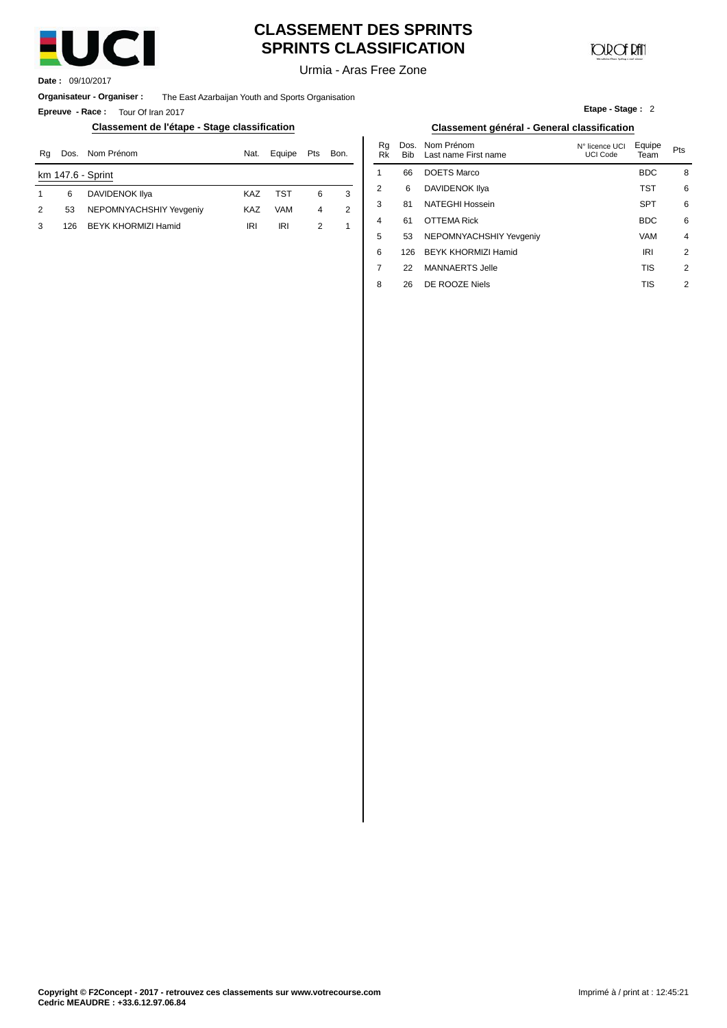

# **CLASSEMENT DES SPRINTS SPRINTS CLASSIFICATION**

**JOIR OF RATI** 

**Etape - Stage :** 2

Urmia - Aras Free Zone

**Date :** 09/10/2017

**Organisateur - Organiser :** The East Azarbaijan Youth and Sports Organisation

**Epreuve - Race :** Tour Of Iran 2017

#### **Classement de l'étape - Stage classification Classement général - General classification**

| Rq             | Dos. | Nom Prénom              | Nat.       | Equipe     | Pts | Bon. | ĸa<br>Rk | DOS.<br><b>Bib</b> | Nom Prenom<br>Last name First name | N° licence UCI<br>UCI Code | ⊨quipe<br>Team | Pts |
|----------------|------|-------------------------|------------|------------|-----|------|----------|--------------------|------------------------------------|----------------------------|----------------|-----|
|                |      | km 147.6 - Sprint       |            |            |     |      |          | 66                 | <b>DOETS Marco</b>                 |                            | <b>BDC</b>     |     |
|                | 6    | DAVIDENOK IIya          | <b>KAZ</b> | <b>TST</b> | 6   |      |          | 6                  | DAVIDENOK IIya                     |                            | TST            |     |
| $\overline{2}$ | 53   | NEPOMNYACHSHIY Yevgeniy | <b>KAZ</b> | VAM        |     |      |          | 81                 | NATEGHI Hossein                    |                            | <b>SPT</b>     |     |
|                | 126  | BEYK KHORMIZI Hamid     | <b>IRI</b> | IRI        |     |      | 4        | 61                 | <b>OTTEMA Rick</b>                 |                            | <b>BDC</b>     |     |
|                |      |                         |            |            |     |      |          |                    |                                    |                            | .              |     |

| ation      | Classement général - General classification |      |          |                    |                                    |                                   |                |                |  |  |
|------------|---------------------------------------------|------|----------|--------------------|------------------------------------|-----------------------------------|----------------|----------------|--|--|
| Equipe     | Pts                                         | Bon. | Rq<br>Rk | Dos.<br><b>Bib</b> | Nom Prénom<br>Last name First name | N° licence UCI<br><b>UCI Code</b> | Equipe<br>Team | Pts            |  |  |
|            |                                             |      | 1        | 66                 | <b>DOETS Marco</b>                 |                                   | <b>BDC</b>     | 8              |  |  |
| <b>TST</b> | 6                                           | 3    | 2        | 6                  | <b>DAVIDENOK IIya</b>              |                                   | <b>TST</b>     | 6              |  |  |
| <b>VAM</b> | 4                                           | 2    | 3        | 81                 | <b>NATEGHI Hossein</b>             |                                   | <b>SPT</b>     | 6              |  |  |
| IRI        | 2                                           | 1    | 4        | 61                 | <b>OTTEMA Rick</b>                 |                                   | <b>BDC</b>     | 6              |  |  |
|            |                                             |      | 5        | 53                 | NEPOMNYACHSHIY Yevgeniy            |                                   | <b>VAM</b>     | $\overline{4}$ |  |  |
|            |                                             |      | 6        | 126                | BEYK KHORMIZI Hamid                |                                   | IRI            | 2              |  |  |
|            |                                             |      | 7        | 22                 | <b>MANNAERTS Jelle</b>             |                                   | <b>TIS</b>     | 2              |  |  |
|            |                                             |      | 8        | 26                 | DE ROOZE Niels                     |                                   | <b>TIS</b>     | 2              |  |  |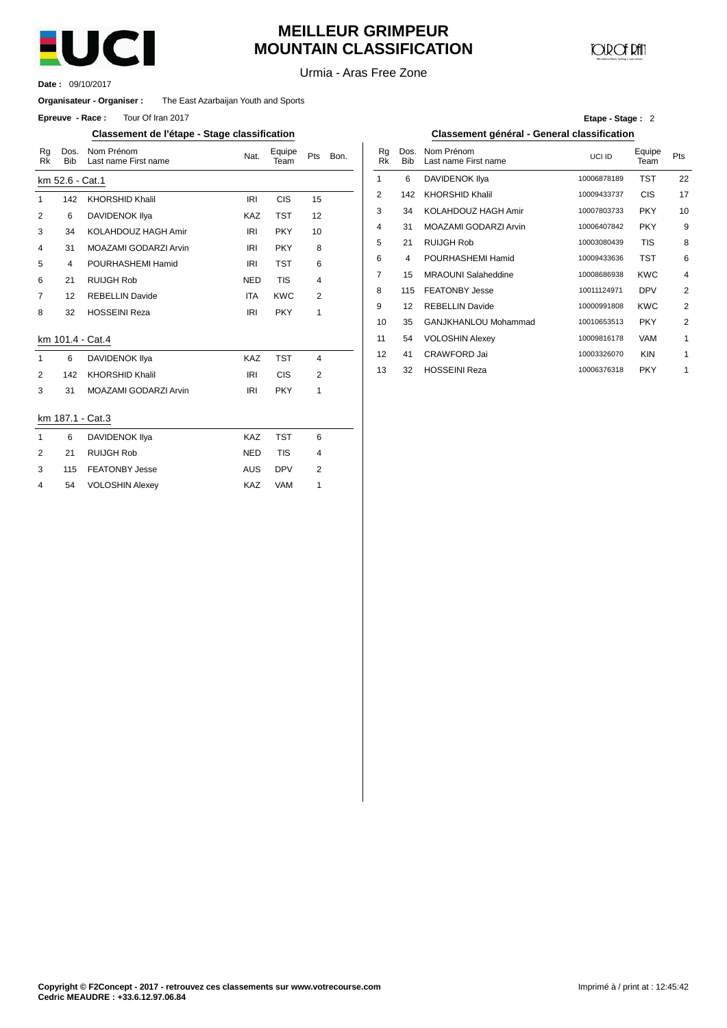

# **MEILLEUR GRIMPEUR MOUNTAIN CLASSIFICATION**

**COD** CF DAN

Urmia - Aras Free Zone

09/10/2017 **Date :**

#### **Organisateur - Organiser :** The East Azarbaijan Youth and Sports

**Epreuve** - Race: Tour Of Iran 2017

#### **Classement de l'étape - Stage classification Classement général - General classification**

| Rg<br>Rk       | Dos.<br><b>Bib</b> | Nom Prénom<br>Last name First name | Nat.       | Equipe<br>Team | Pts            | Bon. | Rg<br><b>Rk</b> | Dos<br>Bit     |  |
|----------------|--------------------|------------------------------------|------------|----------------|----------------|------|-----------------|----------------|--|
|                | km 52.6 - Cat.1    |                                    |            |                |                |      | 1               | 6              |  |
| $\mathbf{1}$   | 142                | <b>KHORSHID Khalil</b>             | <b>IRI</b> | <b>CIS</b>     | 15             |      | $\overline{2}$  | 142            |  |
| 2              | 6                  | DAVIDENOK Ilya                     | <b>KAZ</b> | <b>TST</b>     | 12             |      | 3               | 34             |  |
| 3              | 34                 | KOLAHDOUZ HAGH Amir                | <b>IRI</b> | <b>PKY</b>     | 10             |      | 4               | 31             |  |
| 4              | 31                 | MOAZAMI GODARZI Arvin              | IRI        | <b>PKY</b>     | 8              |      | 5               | 21             |  |
| 5              | $\overline{4}$     | POURHASHEMI Hamid                  | <b>IRI</b> | <b>TST</b>     | 6              |      | 6               | $\overline{4}$ |  |
| 6              | 21                 | RUIJGH Rob                         | <b>NED</b> | <b>TIS</b>     | 4              |      | 7               | 15             |  |
| $\overline{7}$ | 12                 | <b>REBELLIN Davide</b>             | <b>ITA</b> | <b>KWC</b>     | 2              |      | 8               | 115            |  |
| 8              | 32                 | <b>HOSSEINI Reza</b>               | <b>IRI</b> | <b>PKY</b>     | 1              |      | 9               | 12             |  |
|                |                    |                                    |            |                |                |      | 10              | 35             |  |
|                |                    | km 101.4 - Cat.4                   |            |                |                |      | 11              | 54             |  |
| $\mathbf{1}$   | 6                  | <b>DAVIDENOK IIya</b>              | KAZ        | <b>TST</b>     | $\overline{4}$ |      | 12              | 41             |  |
| 2              | 142                | <b>KHORSHID Khalil</b>             | <b>IRI</b> | <b>CIS</b>     | $\overline{2}$ |      | 13              | 32             |  |
| 3              | 31                 | MOAZAMI GODARZI Arvin              | <b>IRI</b> | <b>PKY</b>     | $\mathbf{1}$   |      |                 |                |  |
|                | km 187.1 - Cat.3   |                                    |            |                |                |      |                 |                |  |
| $\mathbf{1}$   | 6                  | <b>DAVIDENOK IIya</b>              | KAZ        | <b>TST</b>     | 6              |      |                 |                |  |
| 2              | 21                 | <b>RUIJGH Rob</b>                  | <b>NED</b> | <b>TIS</b>     | 4              |      |                 |                |  |
| 3              | 115                | <b>FEATONBY Jesse</b>              | <b>AUS</b> | <b>DPV</b>     | $\overline{2}$ |      |                 |                |  |
| $\overline{4}$ | 54                 | <b>VOLOSHIN Alexey</b>             | <b>KAZ</b> | <b>VAM</b>     | 1              |      |                 |                |  |

#### **Etape - Stage :** 2

|                                    | anga amaannaanan |                |     |      |                |                    | wiaoooinioni gonorai               | $50110141$ $014001110411011$ |                |                |
|------------------------------------|------------------|----------------|-----|------|----------------|--------------------|------------------------------------|------------------------------|----------------|----------------|
| Nom Prénom<br>Last name First name | Nat.             | Equipe<br>Team | Pts | Bon. | Rq<br>Rk       | Dos.<br><b>Bib</b> | Nom Prénom<br>Last name First name | UCI ID                       | Equipe<br>Team | Pts            |
| at.1                               |                  |                |     |      |                | 6                  | DAVIDENOK IIya                     | 10006878189                  | <b>TST</b>     | 22             |
| KHORSHID Khalil                    | <b>IRI</b>       | <b>CIS</b>     | 15  |      | $\overline{2}$ | 142                | <b>KHORSHID Khalil</b>             | 10009433737                  | <b>CIS</b>     | 17             |
| DAVIDENOK Ilya                     | KAZ              | <b>TST</b>     | 12  |      | 3              | 34                 | KOLAHDOUZ HAGH Amir                | 10007803733                  | <b>PKY</b>     | 10             |
| KOLAHDOUZ HAGH Amir                | <b>IRI</b>       | <b>PKY</b>     | 10  |      | 4              | 31                 | MOAZAMI GODARZI Arvin              | 10006407842                  | <b>PKY</b>     | 9              |
| MOAZAMI GODARZI Arvin              | <b>IRI</b>       | <b>PKY</b>     | 8   |      | 5              | 21                 | <b>RUIJGH Rob</b>                  | 10003080439                  | <b>TIS</b>     | 8              |
| POURHASHEMI Hamid                  | <b>IRI</b>       | <b>TST</b>     | 6   |      | 6              | 4                  | POURHASHEMI Hamid                  | 10009433636                  | <b>TST</b>     | 6              |
| RUIJGH Rob                         | <b>NED</b>       | <b>TIS</b>     | 4   |      | 7              | 15                 | <b>MRAOUNI Salaheddine</b>         | 10008686938                  | <b>KWC</b>     | 4              |
| <b>REBELLIN Davide</b>             | <b>ITA</b>       | <b>KWC</b>     | 2   |      | 8              | 115                | <b>FEATONBY Jesse</b>              | 10011124971                  | <b>DPV</b>     | $\overline{2}$ |
| HOSSEINI Reza                      | <b>IRI</b>       | <b>PKY</b>     | 1   |      | 9              | 12                 | <b>REBELLIN Davide</b>             | 10000991808                  | <b>KWC</b>     | $\overline{2}$ |
|                                    |                  |                |     |      | 10             | 35                 | GANJKHANLOU Mohammad               | 10010653513                  | <b>PKY</b>     | $\overline{2}$ |
| Cat.4                              |                  |                |     |      | 11             | 54                 | <b>VOLOSHIN Alexey</b>             | 10009816178                  | <b>VAM</b>     | 1              |
| DAVIDENOK Ilya                     | <b>KAZ</b>       | TST            | 4   |      | 12             | 41                 | CRAWFORD Jai                       | 10003326070                  | <b>KIN</b>     | $\mathbf{1}$   |
| KHORSHID Khalil                    | <b>IRI</b>       | CIS            | 2   |      | 13             | 32                 | <b>HOSSEINI Reza</b>               | 10006376318                  | <b>PKY</b>     |                |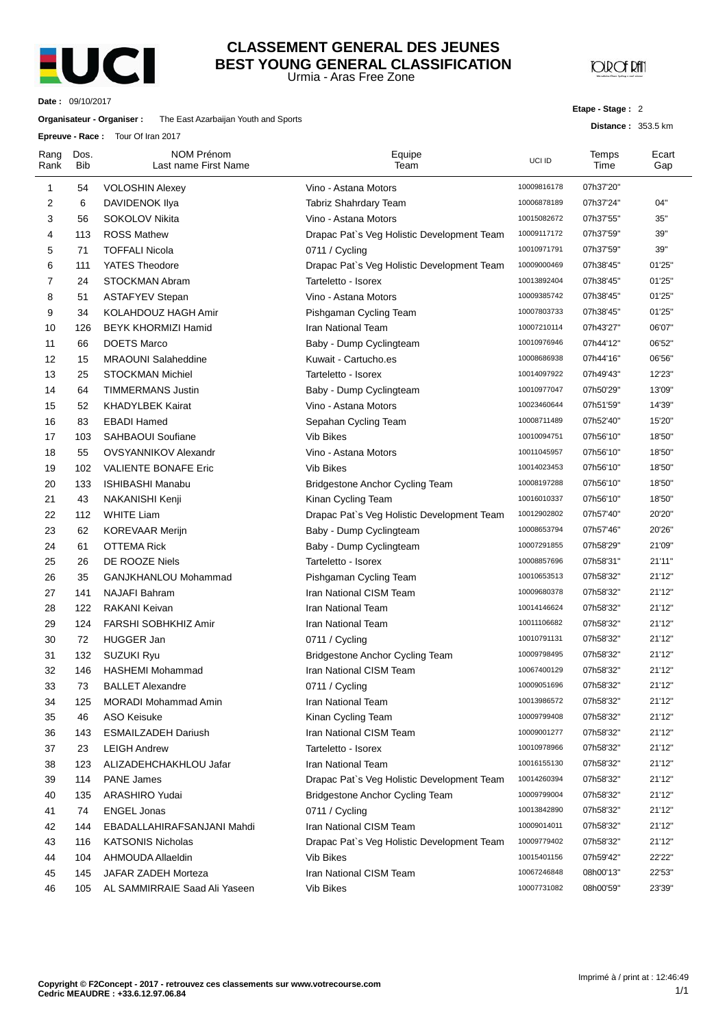

#### Urmia - Aras Free Zone **CLASSEMENT GENERAL DES JEUNES BEST YOUNG GENERAL CLASSIFICATION**

**JOROF RAT** 

**Etape - Stage :** 2

**Distance :** 353.5 km

**Date :** 09/10/2017

#### **Organisateur - Organiser :** The East Azarbaijan Youth and Sports

**Epreuve - Race :** Tour Of Iran 2017

| Rang<br>Rank   | Dos.<br><b>Bib</b> | NOM Prénom<br>Last name First Name | Equipe<br>Team                             | UCI ID      | Temps<br>Time | Ecart<br>Gap |
|----------------|--------------------|------------------------------------|--------------------------------------------|-------------|---------------|--------------|
| 1              | 54                 | <b>VOLOSHIN Alexey</b>             | Vino - Astana Motors                       | 10009816178 | 07h37'20"     |              |
| 2              | 6                  | DAVIDENOK IIya                     | Tabriz Shahrdary Team                      | 10006878189 | 07h37'24"     | 04"          |
| 3              | 56                 | <b>SOKOLOV Nikita</b>              | Vino - Astana Motors                       | 10015082672 | 07h37'55"     | 35"          |
| 4              | 113                | <b>ROSS Mathew</b>                 | Drapac Pat's Veg Holistic Development Team | 10009117172 | 07h37'59"     | 39"          |
| 5              | 71                 | <b>TOFFALI Nicola</b>              | 0711 / Cycling                             | 10010971791 | 07h37'59"     | 39"          |
| 6              | 111                | <b>YATES Theodore</b>              | Drapac Pat's Veg Holistic Development Team | 10009000469 | 07h38'45"     | 01'25"       |
| $\overline{7}$ | 24                 | <b>STOCKMAN Abram</b>              | Tarteletto - Isorex                        | 10013892404 | 07h38'45"     | 01'25"       |
| 8              | 51                 | <b>ASTAFYEV Stepan</b>             | Vino - Astana Motors                       | 10009385742 | 07h38'45"     | 01'25"       |
| 9              | 34                 | KOLAHDOUZ HAGH Amir                | Pishgaman Cycling Team                     | 10007803733 | 07h38'45"     | 01'25"       |
| 10             | 126                | <b>BEYK KHORMIZI Hamid</b>         | Iran National Team                         | 10007210114 | 07h43'27"     | 06'07"       |
| 11             | 66                 | <b>DOETS Marco</b>                 | Baby - Dump Cyclingteam                    | 10010976946 | 07h44'12"     | 06'52"       |
| 12             | 15                 | <b>MRAOUNI Salaheddine</b>         | Kuwait - Cartucho.es                       | 10008686938 | 07h44'16"     | 06'56"       |
| 13             | 25                 | <b>STOCKMAN Michiel</b>            | Tarteletto - Isorex                        | 10014097922 | 07h49'43"     | 12'23"       |
| 14             | 64                 | <b>TIMMERMANS Justin</b>           | Baby - Dump Cyclingteam                    | 10010977047 | 07h50'29"     | 13'09"       |
| 15             | 52                 | <b>KHADYLBEK Kairat</b>            | Vino - Astana Motors                       | 10023460644 | 07h51'59"     | 14'39"       |
| 16             | 83                 | <b>EBADI Hamed</b>                 | Sepahan Cycling Team                       | 10008711489 | 07h52'40"     | 15'20"       |
| 17             | 103                | <b>SAHBAOUI Soufiane</b>           | <b>Vib Bikes</b>                           | 10010094751 | 07h56'10"     | 18'50"       |
| 18             | 55                 | <b>OVSYANNIKOV Alexandr</b>        | Vino - Astana Motors                       | 10011045957 | 07h56'10"     | 18'50"       |
| 19             | 102                | <b>VALIENTE BONAFE Eric</b>        | <b>Vib Bikes</b>                           | 10014023453 | 07h56'10"     | 18'50"       |
| 20             | 133                | <b>ISHIBASHI Manabu</b>            | Bridgestone Anchor Cycling Team            | 10008197288 | 07h56'10"     | 18'50"       |
| 21             | 43                 | NAKANISHI Kenji                    | Kinan Cycling Team                         | 10016010337 | 07h56'10"     | 18'50"       |
| 22             | 112                | <b>WHITE Liam</b>                  | Drapac Pat's Veg Holistic Development Team | 10012902802 | 07h57'40"     | 20'20"       |
| 23             | 62                 | <b>KOREVAAR Merijn</b>             | Baby - Dump Cyclingteam                    | 10008653794 | 07h57'46"     | 20'26"       |
| 24             | 61                 | <b>OTTEMA Rick</b>                 | Baby - Dump Cyclingteam                    | 10007291855 | 07h58'29"     | 21'09"       |
| 25             | 26                 | DE ROOZE Niels                     | Tarteletto - Isorex                        | 10008857696 | 07h58'31"     | 21'11"       |
| 26             | 35                 | GANJKHANLOU Mohammad               | Pishgaman Cycling Team                     | 10010653513 | 07h58'32"     | 21'12"       |
| 27             | 141                | <b>NAJAFI Bahram</b>               | Iran National CISM Team                    | 10009680378 | 07h58'32"     | 21'12"       |
| 28             | 122                | <b>RAKANI Keivan</b>               | <b>Iran National Team</b>                  | 10014146624 | 07h58'32"     | 21'12"       |
| 29             | 124                | <b>FARSHI SOBHKHIZ Amir</b>        | Iran National Team                         | 10011106682 | 07h58'32"     | 21'12"       |
| 30             | 72                 | <b>HUGGER Jan</b>                  | 0711 / Cycling                             | 10010791131 | 07h58'32"     | 21'12"       |
| 31             | 132                | SUZUKI Ryu                         | <b>Bridgestone Anchor Cycling Team</b>     | 10009798495 | 07h58'32"     | 21'12"       |
| 32             | 146                | <b>HASHEMI Mohammad</b>            | Iran National CISM Team                    | 10067400129 | 07h58'32"     | 21'12"       |
| 33             | 73                 | <b>BALLET Alexandre</b>            | 0711 / Cycling                             | 10009051696 | 07h58'32"     | 21'12"       |
| 34             | 125                | <b>MORADI Mohammad Amin</b>        | <b>Iran National Team</b>                  | 10013986572 | 07h58'32"     | 21'12"       |
| 35             | 46                 | <b>ASO Keisuke</b>                 | Kinan Cycling Team                         | 10009799408 | 07h58'32"     | 21'12"       |
| 36             | 143                | <b>ESMAILZADEH Dariush</b>         | Iran National CISM Team                    | 10009001277 | 07h58'32"     | 21'12"       |
| 37             | 23                 | <b>LEIGH Andrew</b>                | Tarteletto - Isorex                        | 10010978966 | 07h58'32"     | 21'12"       |
| 38             | 123                | ALIZADEHCHAKHLOU Jafar             | <b>Iran National Team</b>                  | 10016155130 | 07h58'32"     | 21'12"       |
| 39             | 114                | PANE James                         | Drapac Pat's Veg Holistic Development Team | 10014260394 | 07h58'32"     | 21'12"       |
| 40             | 135                | ARASHIRO Yudai                     | Bridgestone Anchor Cycling Team            | 10009799004 | 07h58'32"     | 21'12"       |
| 41             | 74                 | <b>ENGEL Jonas</b>                 | 0711 / Cycling                             | 10013842890 | 07h58'32"     | 21'12"       |
| 42             | 144                | EBADALLAHIRAFSANJANI Mahdi         | Iran National CISM Team                    | 10009014011 | 07h58'32"     | 21'12"       |
| 43             | 116                | <b>KATSONIS Nicholas</b>           | Drapac Pat's Veg Holistic Development Team | 10009779402 | 07h58'32"     | 21'12"       |
| 44             | 104                | AHMOUDA Allaeldin                  | Vib Bikes                                  | 10015401156 | 07h59'42"     | 22'22"       |
| 45             | 145                | JAFAR ZADEH Morteza                | Iran National CISM Team                    | 10067246848 | 08h00'13"     | 22'53"       |
| 46             | 105                | AL SAMMIRRAIE Saad Ali Yaseen      | Vib Bikes                                  | 10007731082 | 08h00'59"     | 23'39"       |
|                |                    |                                    |                                            |             |               |              |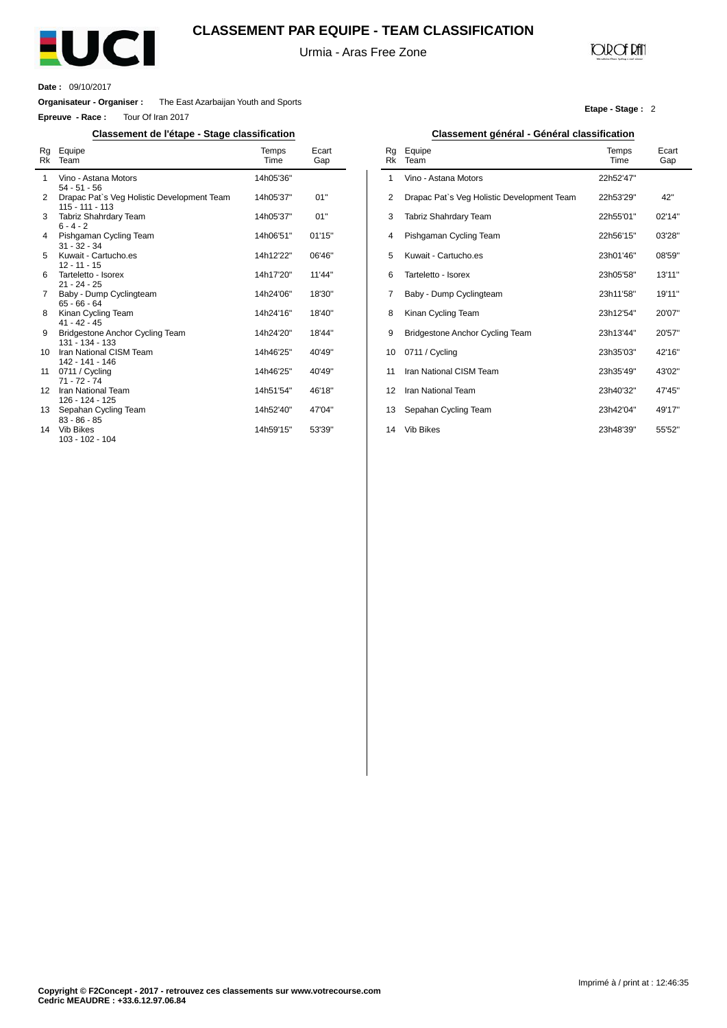

### **CLASSEMENT PAR EQUIPE - TEAM CLASSIFICATION**

Urmia - Aras Free Zone

## **JOIR OF RATI**

**Etape - Stage :** 2

**Date :** 09/10/2017

 $\overline{a}$ 

**Organisateur - Organiser :** The East Azarbaijan Youth and Sports

**Epreuve - Race :** Tour Of Iran 2017

#### **Classement de l'étape - Stage classification Classement général - Général classification**

| Rg<br>Rk | Equipe<br>Team                                                | Temps<br>Time | Ecart<br>Gap |
|----------|---------------------------------------------------------------|---------------|--------------|
| 1        | Vino - Astana Motors<br>$54 - 51 - 56$                        | 14h05'36"     |              |
| 2        | Drapac Pat's Veg Holistic Development Team<br>115 - 111 - 113 | 14h05'37"     | 01"          |
| 3        | Tabriz Shahrdary Team<br>$6 - 4 - 2$                          | 14h05'37"     | 01"          |
| 4        | Pishgaman Cycling Team<br>$31 - 32 - 34$                      | 14h06'51"     | 01'15"       |
| 5        | Kuwait - Cartucho.es<br>$12 - 11 - 15$                        | 14h12'22"     | 06'46"       |
| 6        | Tarteletto - Isorex<br>$21 - 24 - 25$                         | 14h17'20"     | 11'44"       |
| 7        | Baby - Dump Cyclingteam<br>$65 - 66 - 64$                     | 14h24'06"     | 18'30"       |
| 8        | Kinan Cycling Team<br>$41 - 42 - 45$                          | 14h24'16"     | 18'40"       |
| 9        | Bridgestone Anchor Cycling Team<br>$131 - 134 - 133$          | 14h24'20"     | 18'44"       |
| 10       | Iran National CISM Team<br>142 - 141 - 146                    | 14h46'25"     | 40'49"       |
| 11       | 0711 / Cycling<br>$71 - 72 - 74$                              | 14h46'25"     | 40'49"       |
| 12       | Iran National Team<br>126 - 124 - 125                         | 14h51'54"     | 46'18"       |
| 13       | Sepahan Cycling Team<br>$83 - 86 - 85$                        | 14h52'40"     | 47'04"       |
| 14       | <b>Vib Bikes</b><br>103 - 102 - 104                           | 14h59'15"     | 53'39"       |

|          | Glassement generar - Generar classification |               |              |  |  |  |  |  |  |  |  |
|----------|---------------------------------------------|---------------|--------------|--|--|--|--|--|--|--|--|
| Rq<br>Rk | Equipe<br>Team                              | Temps<br>Time | Ecart<br>Gap |  |  |  |  |  |  |  |  |
| 1        | Vino - Astana Motors                        | 22h52'47"     |              |  |  |  |  |  |  |  |  |
| 2        | Drapac Pat's Veg Holistic Development Team  | 22h53'29"     | 42"          |  |  |  |  |  |  |  |  |
| 3        | Tabriz Shahrdary Team                       | 22h55'01"     | 02'14"       |  |  |  |  |  |  |  |  |
| 4        | Pishgaman Cycling Team                      | 22h56'15"     | 03'28"       |  |  |  |  |  |  |  |  |
| 5        | Kuwait - Cartucho.es                        | 23h01'46"     | 08'59"       |  |  |  |  |  |  |  |  |
| 6        | Tarteletto - Isorex                         | 23h05'58"     | 13'11"       |  |  |  |  |  |  |  |  |
| 7        | Baby - Dump Cyclingteam                     | 23h11'58"     | 19'11"       |  |  |  |  |  |  |  |  |
| 8        | Kinan Cycling Team                          | 23h12'54"     | 20'07"       |  |  |  |  |  |  |  |  |
| 9        | Bridgestone Anchor Cycling Team             | 23h13'44"     | 20'57"       |  |  |  |  |  |  |  |  |
| 10       | 0711 / Cycling                              | 23h35'03"     | 42'16"       |  |  |  |  |  |  |  |  |
| 11       | Iran National CISM Team                     | 23h35'49"     | 43'02"       |  |  |  |  |  |  |  |  |
| 12       | Iran National Team                          | 23h40'32"     | 47'45"       |  |  |  |  |  |  |  |  |
| 13       | Sepahan Cycling Team                        | 23h42'04"     | 49'17"       |  |  |  |  |  |  |  |  |
| 14       | <b>Vib Bikes</b>                            | 23h48'39"     | 55'52"       |  |  |  |  |  |  |  |  |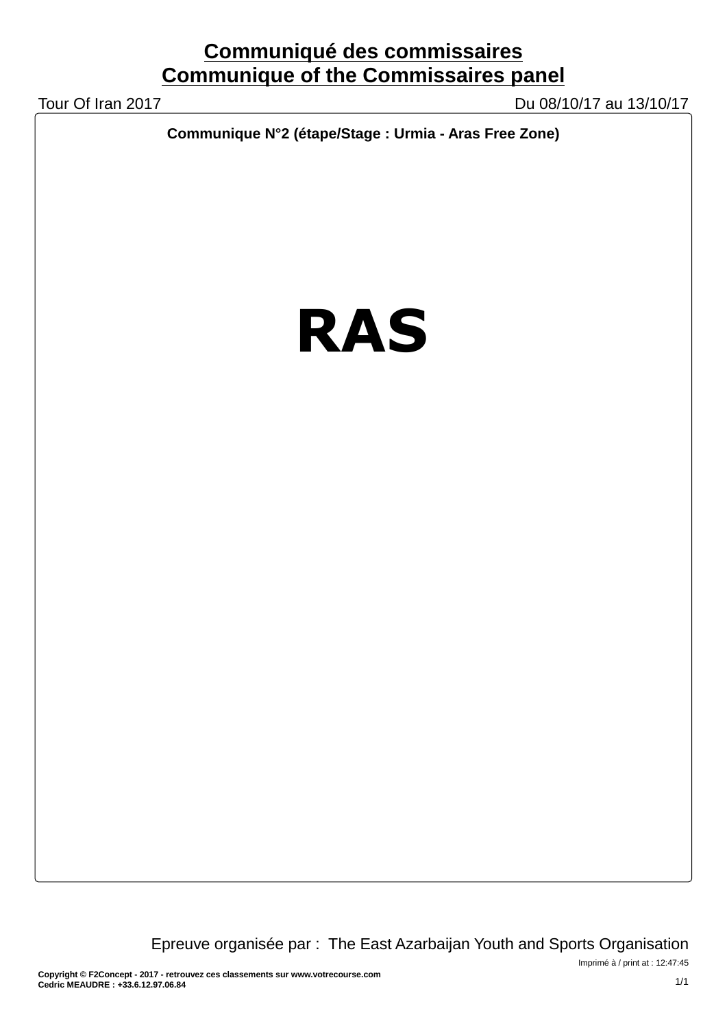# **Communiqué des commissaires Communique of the Commissaires panel**

Tour Of Iran 2017 Du 08/10/17 au 13/10/17

**Communique N°2 (étape/Stage : Urmia - Aras Free Zone)**

# **RAS**

Epreuve organisée par : The East Azarbaijan Youth and Sports Organisation

Imprimé à / print at : 12:47:45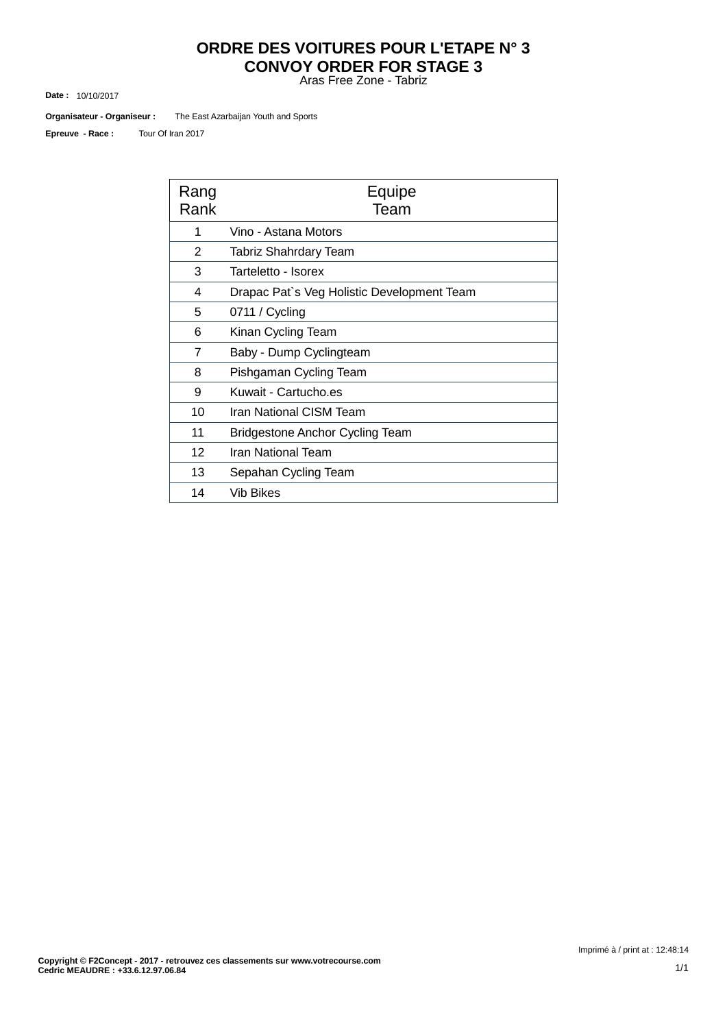# **ORDRE DES VOITURES POUR L'ETAPE N° 3 CONVOY ORDER FOR STAGE 3**

Aras Free Zone - Tabriz

10/10/2017 **Date :**

The East Azarbaijan Youth and Sports **Organisateur - Organiseur :**

Tour Of Iran 2017 **Epreuve - Race :**

| Rang<br>Rank   | Equipe<br>Team                             |
|----------------|--------------------------------------------|
| 1              | Vino - Astana Motors                       |
| 2              | Tabriz Shahrdary Team                      |
| 3              | Tarteletto - Isorex                        |
| 4              | Drapac Pat's Veg Holistic Development Team |
| 5              | 0711 / Cycling                             |
| 6              | Kinan Cycling Team                         |
| $\overline{7}$ | Baby - Dump Cyclingteam                    |
| 8              | Pishgaman Cycling Team                     |
| 9              | Kuwait - Cartucho.es                       |
| 10             | Iran National CISM Team                    |
| 11             | <b>Bridgestone Anchor Cycling Team</b>     |
| 12             | Iran National Team                         |
| 13             | Sepahan Cycling Team                       |
| 14             | Vib Bikes                                  |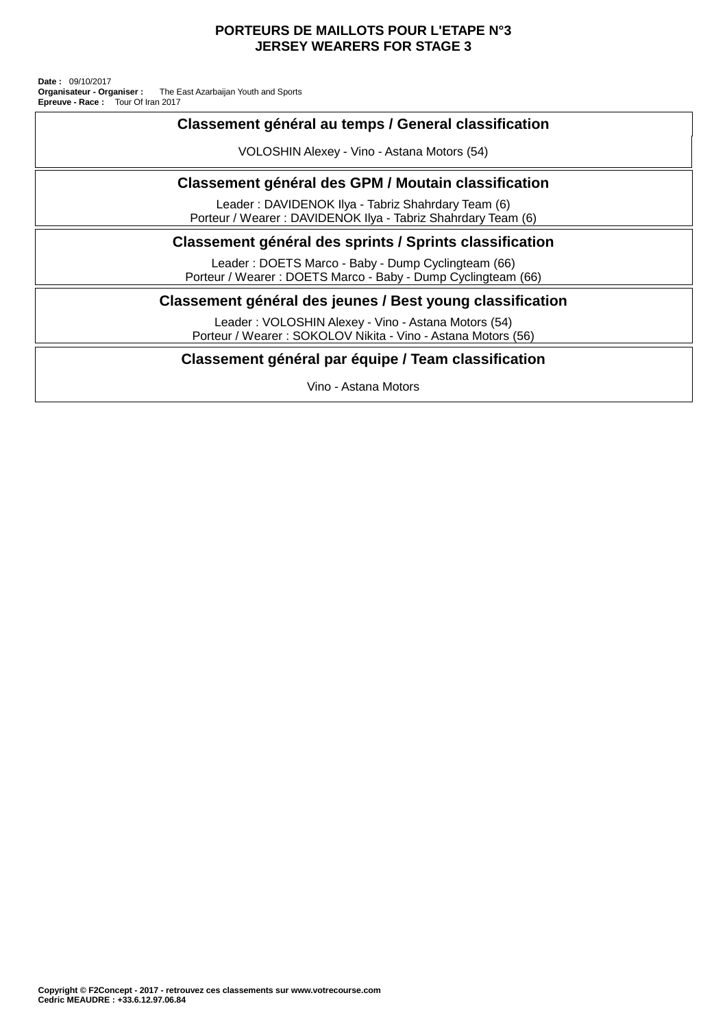#### **PORTEURS DE MAILLOTS POUR L'ETAPE N°3 JERSEY WEARERS FOR STAGE 3**

Tour Of Iran 2017 **Organisateur - Organiser :** The East Azarbaijan Youth and Sports **Date :** 09/10/2017 **Epreuve - Race :**

| Classement général au temps / General classification                                                                |
|---------------------------------------------------------------------------------------------------------------------|
| VOLOSHIN Alexey - Vino - Astana Motors (54)                                                                         |
| Classement général des GPM / Moutain classification                                                                 |
| Leader: DAVIDENOK Ilya - Tabriz Shahrdary Team (6)<br>Porteur / Wearer: DAVIDENOK IIya - Tabriz Shahrdary Team (6)  |
| Classement général des sprints / Sprints classification                                                             |
| Leader: DOETS Marco - Baby - Dump Cyclingteam (66)<br>Porteur / Wearer: DOETS Marco - Baby - Dump Cyclingteam (66)  |
| Classement général des jeunes / Best young classification                                                           |
| Leader: VOLOSHIN Alexey - Vino - Astana Motors (54)<br>Porteur / Wearer: SOKOLOV Nikita - Vino - Astana Motors (56) |
| Classement général par équipe / Team classification                                                                 |
| Vino - Astana Motors                                                                                                |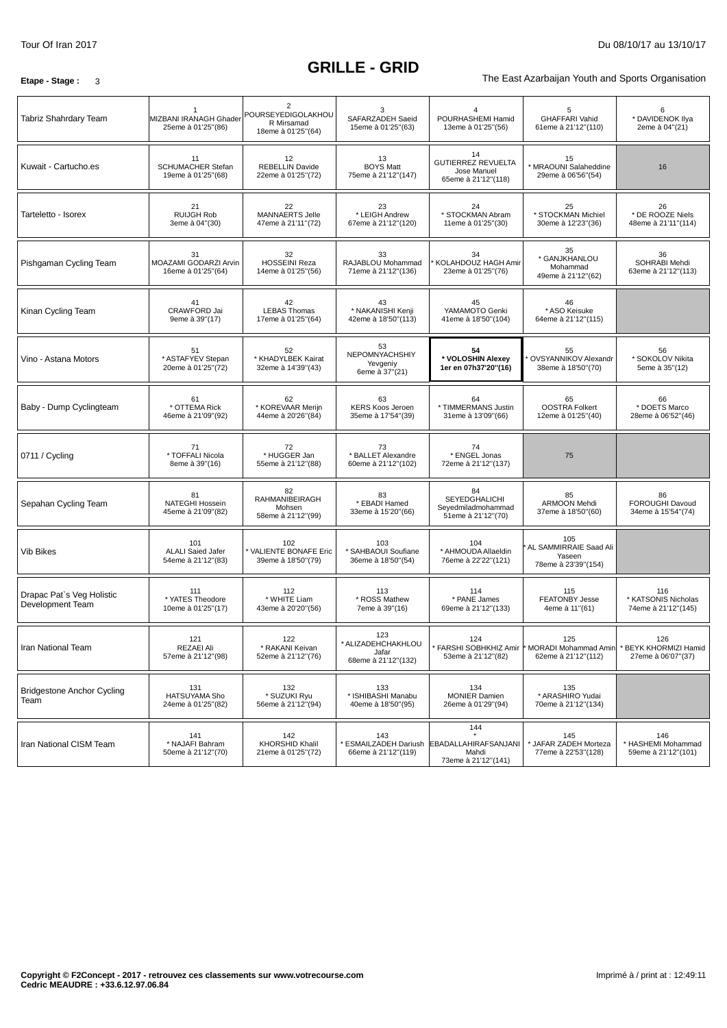# **GRILLE - GRID**

**Etape - Stage** : 3 3

| Tabriz Shahrdary Team                         | MIZBANI IRANAGH Ghader<br>25eme à 01'25"(86)          | $\overline{2}$<br>POURSEYEDIGOLAKHOU<br>R Mirsamad<br>18eme à 01'25"(64) | 3<br>SAFARZADEH Saeid<br>15eme à 01'25"(63)               | POURHASHEMI Hamid<br>13eme à 01'25"(56)                                         | 5<br><b>GHAFFARI Vahid</b><br>61eme à 21'12"(110)                            | 6<br>* DAVIDENOK Ilya<br>2eme à 04"(21)            |
|-----------------------------------------------|-------------------------------------------------------|--------------------------------------------------------------------------|-----------------------------------------------------------|---------------------------------------------------------------------------------|------------------------------------------------------------------------------|----------------------------------------------------|
| Kuwait - Cartucho.es                          | 11<br><b>SCHUMACHER Stefan</b><br>19eme à 01'25"(68)  | 12<br><b>REBELLIN Davide</b><br>22eme à 01'25"(72)                       | 13<br><b>BOYS Matt</b><br>75eme à 21'12"(147)             | 14<br><b>GUTIERREZ REVUELTA</b><br>Jose Manuel<br>65eme à 21'12"(118)           | 15<br>* MRAOUNI Salaheddine<br>29eme à 06'56"(54)                            | 16                                                 |
| Tarteletto - Isorex                           | 21<br><b>RUIJGH Rob</b><br>3eme à 04"(30)             | 22<br>MANNAERTS Jelle<br>47eme à 21'11"(72)                              | 23<br>* LEIGH Andrew<br>67eme à 21'12"(120)               | 24<br>* STOCKMAN Abram<br>11eme à 01'25"(30)                                    | 25<br>* STOCKMAN Michiel<br>30eme à 12'23"(36)                               | 26<br>* DE ROOZE Niels<br>48eme à 21'11"(114)      |
| Pishgaman Cycling Team                        | 31<br>MOAZAMI GODARZI Arvin<br>16eme à 01'25"(64)     | 32<br><b>HOSSEINI Reza</b><br>14eme à 01'25"(56)                         | 33<br>RAJABLOU Mohammad<br>71eme à 21'12"(136)            | 34<br>KOLAHDOUZ HAGH Amir<br>23eme à 01'25"(76)                                 | 35<br>* GANJKHANLOU<br>Mohammad<br>49eme à 21'12"(62)                        | 36<br>SOHRABI Mehdi<br>63eme à 21'12"(113)         |
| Kinan Cycling Team                            | 41<br>CRAWFORD Jai<br>9eme à 39"(17)                  | 42<br><b>LEBAS Thomas</b><br>17eme à 01'25"(64)                          | 43<br>* NAKANISHI Kenji<br>42eme à 18'50"(113)            | 45<br>YAMAMOTO Genki<br>41eme à 18'50"(104)                                     | 46<br>* ASO Keisuke<br>64eme à 21'12"(115)                                   |                                                    |
| Vino - Astana Motors                          | 51<br>* ASTAFYEV Stepan<br>20eme à 01'25"(72)         | 52<br>* KHADYLBEK Kairat<br>32eme à 14'39"(43)                           | 53<br>NEPOMNYACHSHIY<br>Yevgeniv<br>6eme à 37"(21)        | 54<br>* VOLOSHIN Alexey<br>1er en 07h37'20"(16)                                 | 55<br><b>OVSYANNIKOV Alexandr</b><br>38eme à 18'50"(70)                      | 56<br>* SOKOLOV Nikita<br>5eme à 35"(12)           |
| Baby - Dump Cyclingteam                       | 61<br>* OTTEMA Rick<br>46eme à 21'09"(92)             | 62<br>* KOREVAAR Merijn<br>44eme à 20'26"(84)                            | 63<br><b>KERS Koos Jeroen</b><br>35eme à 17'54"(39)       | 64<br>* TIMMERMANS Justin<br>31eme à 13'09"(66)                                 | 65<br><b>OOSTRA Folkert</b><br>12eme à 01'25"(40)                            | 66<br>* DOETS Marco<br>28eme à 06'52"(46)          |
| 0711 / Cycling                                | 71<br>* TOFFALI Nicola<br>8eme à 39"(16)              | 72<br>* HUGGER Jan<br>55eme à 21'12"(88)                                 | 73<br>* BALLET Alexandre<br>60eme à 21'12"(102)           | 74<br>* ENGEL Jonas<br>72eme à 21'12"(137)                                      | 75                                                                           |                                                    |
| Sepahan Cycling Team                          | 81<br><b>NATEGHI Hossein</b><br>45eme à 21'09"(82)    | 82<br>RAHMANIBEIRAGH<br>Mohsen<br>58eme à 21'12"(99)                     | 83<br>* EBADI Hamed<br>33eme à 15'20"(66)                 | 84<br>SEYEDGHALICHI<br>Seyedmiladmohammad<br>51eme à 21'12"(70)                 | 85<br><b>ARMOON Mehdi</b><br>37eme à 18'50"(60)                              | 86<br>FOROUGHI Davoud<br>34eme à 15'54"(74)        |
| <b>Vib Bikes</b>                              | 101<br><b>ALALI Saied Jafer</b><br>54eme à 21'12"(83) | 102<br>VALIENTE BONAFE Eric<br>39eme à 18'50"(79)                        | 103<br>* SAHBAOUI Soufiane<br>36eme à 18'50"(54)          | 104<br>* AHMOUDA Allaeldin<br>76eme à 22'22"(121)                               | 105<br>AL SAMMIRRAIE Saad Ali<br>Yaseen<br>78eme à 23'39"(154)               |                                                    |
| Drapac Pat's Veg Holistic<br>Development Team | 111<br>* YATES Theodore<br>10eme à 01'25"(17)         | 112<br>* WHITE Liam<br>43eme à 20'20"(56)                                | 113<br>* ROSS Mathew<br>7eme à 39"(16)                    | 114<br>* PANE James<br>69eme à 21'12"(133)                                      | 115<br><b>FEATONBY Jesse</b><br>4eme à 11"(61)                               | 116<br>* KATSONIS Nicholas<br>74eme à 21'12"(145)  |
| Iran National Team                            | 121<br>REZAEI Ali<br>57eme à 21'12"(98)               | 122<br>* RAKANI Keivan<br>52eme à 21'12"(76)                             | 123<br>* ALIZADEHCHAKHLOU<br>Jafar<br>68eme à 21'12"(132) | 124<br>53eme à 21'12"(82)                                                       | 125<br>* FARSHI SOBHKHIZ Amir  * MORADI Mohammad Amin<br>62eme à 21'12"(112) | 126<br>* BEYK KHORMIZI Hamid<br>27eme à 06'07"(37) |
| <b>Bridgestone Anchor Cycling</b><br>Team     | 131<br><b>HATSUYAMA Sho</b><br>24eme à 01'25"(82)     | 132<br>* SUZUKI Ryu<br>56eme à 21'12"(94)                                | 133<br>* ISHIBASHI Manabu<br>40eme à 18'50"(95)           | 134<br><b>MONIER Damien</b><br>26eme à 01'29"(94)                               | 135<br>* ARASHIRO Yudai<br>70eme à 21'12"(134)                               |                                                    |
| Iran National CISM Team                       | 141<br>* NAJAFI Bahram<br>50eme à 21'12"(70)          | 142<br><b>KHORSHID Khalil</b><br>21eme à 01'25"(72)                      | 143<br>66eme à 21'12"(119)                                | 144<br>ESMAILZADEH Dariush EBADALLAHIRAFSANJANI<br>Mahdi<br>73eme à 21'12"(141) | 145<br>JAFAR ZADEH Morteza<br>77eme à 22'53"(128)                            | 146<br>* HASHEMI Mohammad<br>59eme à 21'12"(101)   |